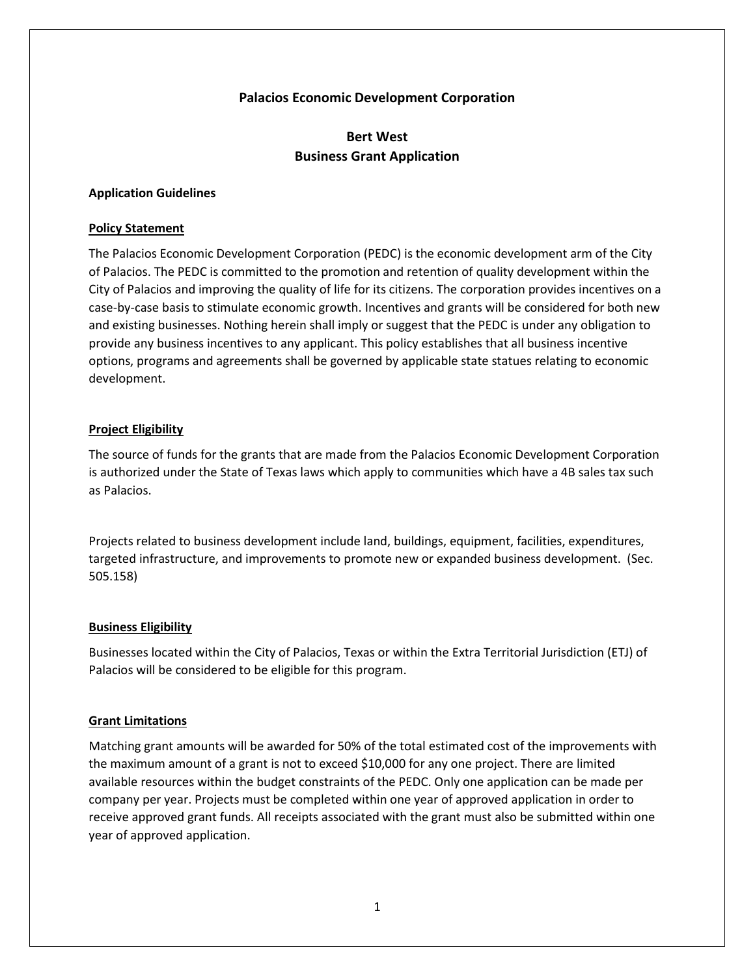## **Palacios Economic Development Corporation**

# **Bert West Business Grant Application**

#### **Application Guidelines**

#### **Policy Statement**

The Palacios Economic Development Corporation (PEDC) is the economic development arm of the City of Palacios. The PEDC is committed to the promotion and retention of quality development within the City of Palacios and improving the quality of life for its citizens. The corporation provides incentives on a case-by-case basis to stimulate economic growth. Incentives and grants will be considered for both new and existing businesses. Nothing herein shall imply or suggest that the PEDC is under any obligation to provide any business incentives to any applicant. This policy establishes that all business incentive options, programs and agreements shall be governed by applicable state statues relating to economic development.

#### **Project Eligibility**

The source of funds for the grants that are made from the Palacios Economic Development Corporation is authorized under the State of Texas laws which apply to communities which have a 4B sales tax such as Palacios.

Projects related to business development include land, buildings, equipment, facilities, expenditures, targeted infrastructure, and improvements to promote new or expanded business development. (Sec. 505.158)

#### **Business Eligibility**

Businesses located within the City of Palacios, Texas or within the Extra Territorial Jurisdiction (ETJ) of Palacios will be considered to be eligible for this program.

#### **Grant Limitations**

Matching grant amounts will be awarded for 50% of the total estimated cost of the improvements with the maximum amount of a grant is not to exceed \$10,000 for any one project. There are limited available resources within the budget constraints of the PEDC. Only one application can be made per company per year. Projects must be completed within one year of approved application in order to receive approved grant funds. All receipts associated with the grant must also be submitted within one year of approved application.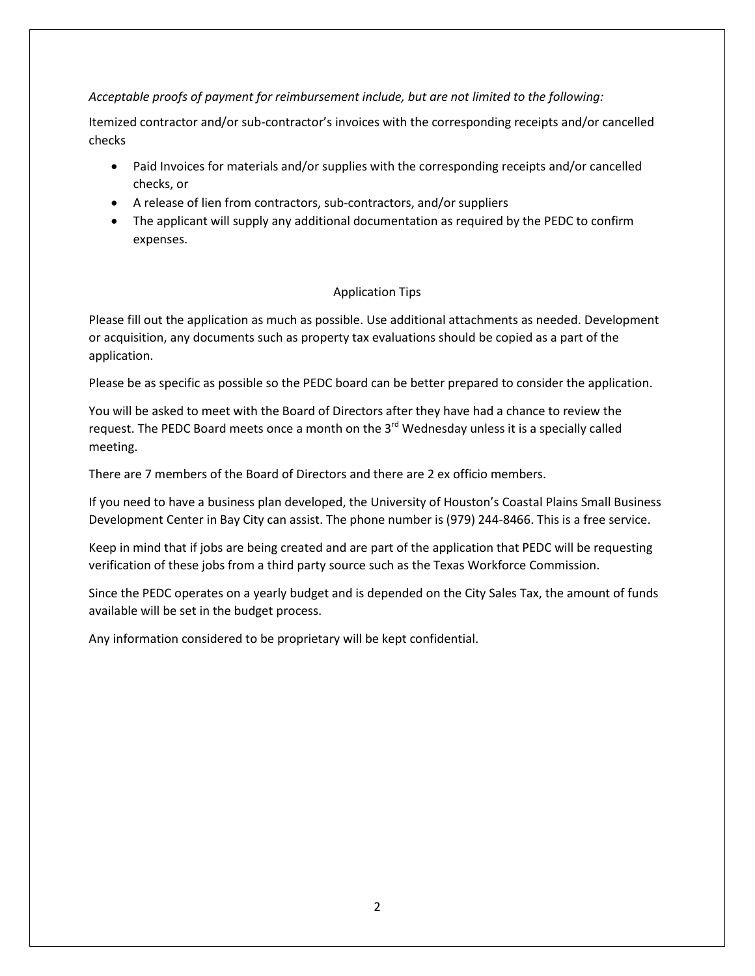# *Acceptable proofs of payment for reimbursement include, but are not limited to the following:*

Itemized contractor and/or sub-contractor's invoices with the corresponding receipts and/or cancelled checks

- Paid Invoices for materials and/or supplies with the corresponding receipts and/or cancelled checks, or
- A release of lien from contractors, sub-contractors, and/or suppliers
- The applicant will supply any additional documentation as required by the PEDC to confirm expenses.

# Application Tips

Please fill out the application as much as possible. Use additional attachments as needed. Development or acquisition, any documents such as property tax evaluations should be copied as a part of the application.

Please be as specific as possible so the PEDC board can be better prepared to consider the application.

You will be asked to meet with the Board of Directors after they have had a chance to review the request. The PEDC Board meets once a month on the  $3<sup>rd</sup>$  Wednesday unless it is a specially called meeting.

There are 7 members of the Board of Directors and there are 2 ex officio members.

If you need to have a business plan developed, the University of Houston's Coastal Plains Small Business Development Center in Bay City can assist. The phone number is (979) 244-8466. This is a free service.

Keep in mind that if jobs are being created and are part of the application that PEDC will be requesting verification of these jobs from a third party source such as the Texas Workforce Commission.

Since the PEDC operates on a yearly budget and is depended on the City Sales Tax, the amount of funds available will be set in the budget process.

Any information considered to be proprietary will be kept confidential.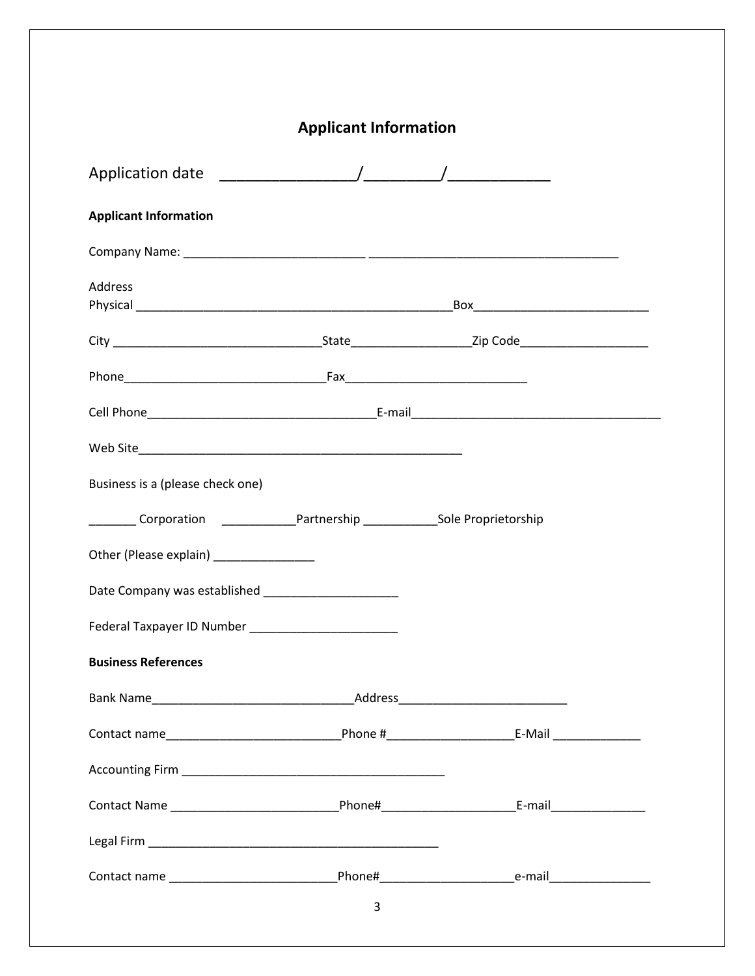| <b>Applicant Information</b>                                                            |   |  |  |  |
|-----------------------------------------------------------------------------------------|---|--|--|--|
|                                                                                         |   |  |  |  |
| <b>Applicant Information</b>                                                            |   |  |  |  |
|                                                                                         |   |  |  |  |
| Address                                                                                 |   |  |  |  |
|                                                                                         |   |  |  |  |
|                                                                                         |   |  |  |  |
|                                                                                         |   |  |  |  |
|                                                                                         |   |  |  |  |
| Business is a (please check one)                                                        |   |  |  |  |
| __________ Corporation _________________Partnership ________________Sole Proprietorship |   |  |  |  |
|                                                                                         |   |  |  |  |
| Date Company was established <b>Exercise 2018</b>                                       |   |  |  |  |
|                                                                                         |   |  |  |  |
| <b>Business References</b>                                                              |   |  |  |  |
|                                                                                         |   |  |  |  |
|                                                                                         |   |  |  |  |
|                                                                                         |   |  |  |  |
|                                                                                         |   |  |  |  |
|                                                                                         |   |  |  |  |
|                                                                                         |   |  |  |  |
|                                                                                         | 3 |  |  |  |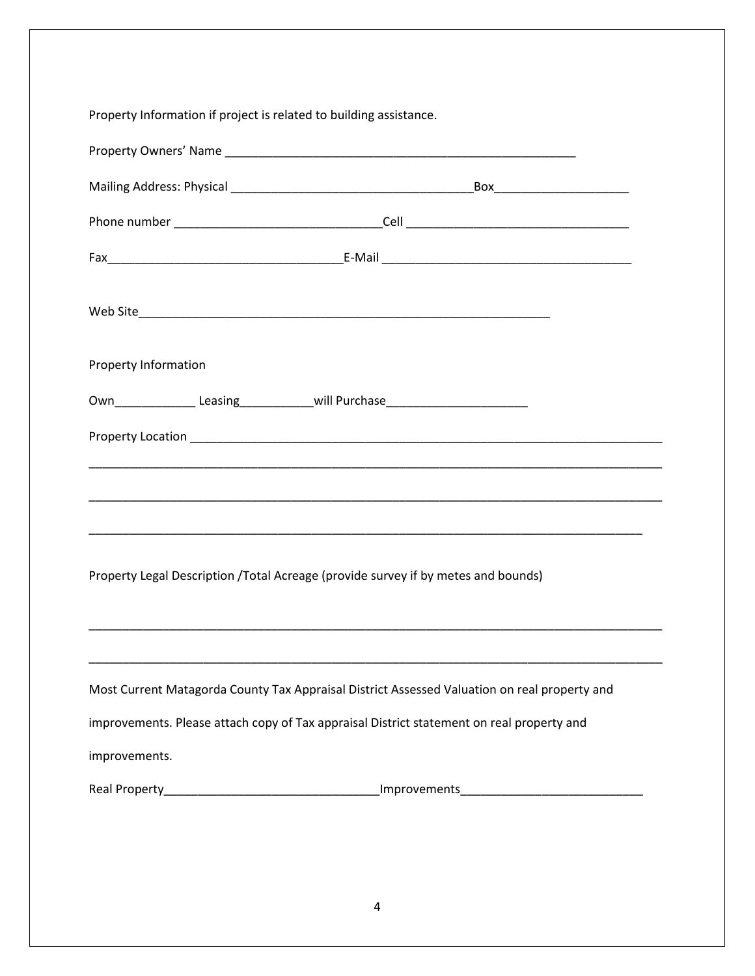| Property Information if project is related to building assistance. |                                                                                              |
|--------------------------------------------------------------------|----------------------------------------------------------------------------------------------|
|                                                                    |                                                                                              |
|                                                                    |                                                                                              |
|                                                                    |                                                                                              |
|                                                                    |                                                                                              |
|                                                                    |                                                                                              |
| Property Information                                               |                                                                                              |
|                                                                    | Own________________Leasing______________will Purchase___________________________             |
|                                                                    |                                                                                              |
|                                                                    |                                                                                              |
|                                                                    |                                                                                              |
|                                                                    | Property Legal Description / Total Acreage (provide survey if by metes and bounds)           |
|                                                                    |                                                                                              |
|                                                                    | Most Current Matagorda County Tax Appraisal District Assessed Valuation on real property and |
|                                                                    | improvements. Please attach copy of Tax appraisal District statement on real property and    |
| improvements.                                                      |                                                                                              |
|                                                                    |                                                                                              |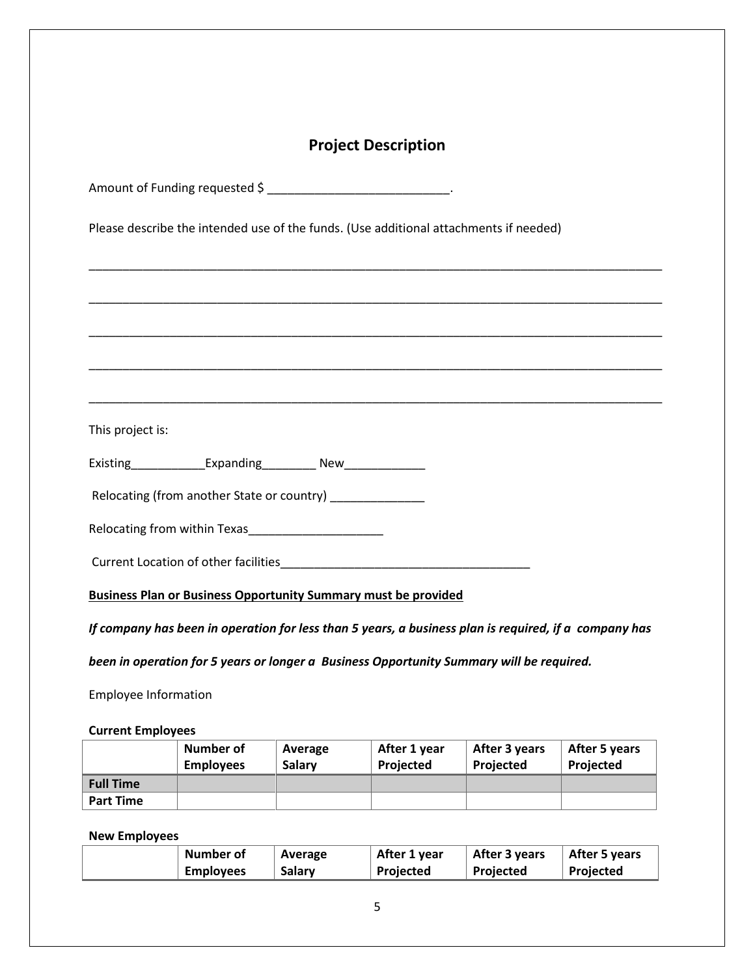# **Project Description**

\_\_\_\_\_\_\_\_\_\_\_\_\_\_\_\_\_\_\_\_\_\_\_\_\_\_\_\_\_\_\_\_\_\_\_\_\_\_\_\_\_\_\_\_\_\_\_\_\_\_\_\_\_\_\_\_\_\_\_\_\_\_\_\_\_\_\_\_\_\_\_\_\_\_\_\_\_\_\_\_\_\_\_\_\_

\_\_\_\_\_\_\_\_\_\_\_\_\_\_\_\_\_\_\_\_\_\_\_\_\_\_\_\_\_\_\_\_\_\_\_\_\_\_\_\_\_\_\_\_\_\_\_\_\_\_\_\_\_\_\_\_\_\_\_\_\_\_\_\_\_\_\_\_\_\_\_\_\_\_\_\_\_\_\_\_\_\_\_\_\_

\_\_\_\_\_\_\_\_\_\_\_\_\_\_\_\_\_\_\_\_\_\_\_\_\_\_\_\_\_\_\_\_\_\_\_\_\_\_\_\_\_\_\_\_\_\_\_\_\_\_\_\_\_\_\_\_\_\_\_\_\_\_\_\_\_\_\_\_\_\_\_\_\_\_\_\_\_\_\_\_\_\_\_\_\_

\_\_\_\_\_\_\_\_\_\_\_\_\_\_\_\_\_\_\_\_\_\_\_\_\_\_\_\_\_\_\_\_\_\_\_\_\_\_\_\_\_\_\_\_\_\_\_\_\_\_\_\_\_\_\_\_\_\_\_\_\_\_\_\_\_\_\_\_\_\_\_\_\_\_\_\_\_\_\_\_\_\_\_\_\_

\_\_\_\_\_\_\_\_\_\_\_\_\_\_\_\_\_\_\_\_\_\_\_\_\_\_\_\_\_\_\_\_\_\_\_\_\_\_\_\_\_\_\_\_\_\_\_\_\_\_\_\_\_\_\_\_\_\_\_\_\_\_\_\_\_\_\_\_\_\_\_\_\_\_\_\_\_\_\_\_\_\_\_\_\_

Amount of Funding requested \$ \_\_\_\_\_\_\_\_\_\_\_\_\_\_\_\_\_\_\_\_\_\_\_\_\_\_\_\_\_\_\_\_.

Please describe the intended use of the funds. (Use additional attachments if needed)

This project is:

| Existing | Expanding | New |
|----------|-----------|-----|
|----------|-----------|-----|

Relocating (from another State or country)

Relocating from within Texas

Current Location of other facilities\_\_\_\_\_\_\_\_\_\_\_\_\_\_\_\_\_\_\_\_\_\_\_\_\_\_\_\_\_\_\_\_\_\_\_\_\_

**Business Plan or Business Opportunity Summary must be provided** 

*If company has been in operation for less than 5 years, a business plan is required, if a company has* 

*been in operation for 5 years or longer a Business Opportunity Summary will be required.* 

Employee Information

**Current Employees**

|                  | Number of<br><b>Employees</b> | Average<br>Salary | After 1 year<br><b>Projected</b> | After 3 years<br><b>Projected</b> | After 5 years<br>Projected |
|------------------|-------------------------------|-------------------|----------------------------------|-----------------------------------|----------------------------|
| <b>Full Time</b> |                               |                   |                                  |                                   |                            |
| <b>Part Time</b> |                               |                   |                                  |                                   |                            |

#### **New Employees**

| Number of        | Average | After 1 year | After 3 years | After 5 years |
|------------------|---------|--------------|---------------|---------------|
| <b>Employees</b> | Salary  | Projected    | Projected     | Projected     |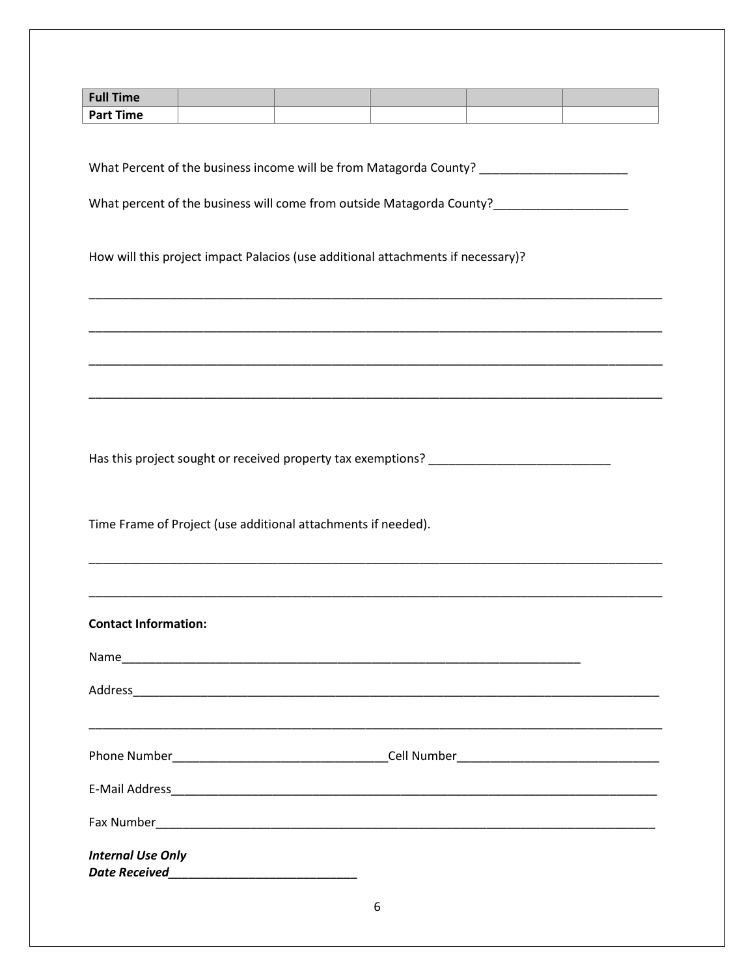| <b>Full Time</b>                                                           |  |                                                                                         |  |  |
|----------------------------------------------------------------------------|--|-----------------------------------------------------------------------------------------|--|--|
| <b>Part Time</b>                                                           |  |                                                                                         |  |  |
|                                                                            |  |                                                                                         |  |  |
|                                                                            |  |                                                                                         |  |  |
|                                                                            |  |                                                                                         |  |  |
|                                                                            |  | What percent of the business will come from outside Matagorda County?__________________ |  |  |
|                                                                            |  |                                                                                         |  |  |
|                                                                            |  | How will this project impact Palacios (use additional attachments if necessary)?        |  |  |
|                                                                            |  |                                                                                         |  |  |
|                                                                            |  |                                                                                         |  |  |
|                                                                            |  |                                                                                         |  |  |
|                                                                            |  |                                                                                         |  |  |
|                                                                            |  |                                                                                         |  |  |
|                                                                            |  |                                                                                         |  |  |
|                                                                            |  |                                                                                         |  |  |
|                                                                            |  |                                                                                         |  |  |
|                                                                            |  | Has this project sought or received property tax exemptions? ____________________       |  |  |
|                                                                            |  |                                                                                         |  |  |
| Time Frame of Project (use additional attachments if needed).              |  |                                                                                         |  |  |
|                                                                            |  |                                                                                         |  |  |
|                                                                            |  |                                                                                         |  |  |
|                                                                            |  |                                                                                         |  |  |
| <b>Contact Information:</b>                                                |  |                                                                                         |  |  |
|                                                                            |  |                                                                                         |  |  |
|                                                                            |  |                                                                                         |  |  |
|                                                                            |  |                                                                                         |  |  |
|                                                                            |  | ,我们也不能在这里的时候,我们也不能在这里的时候,我们也不能会在这里,我们也不能会在这里的时候,我们也不能会在这里的时候,我们也不能会在这里的时候,我们也不能会        |  |  |
|                                                                            |  |                                                                                         |  |  |
|                                                                            |  |                                                                                         |  |  |
|                                                                            |  |                                                                                         |  |  |
|                                                                            |  |                                                                                         |  |  |
| <b>Internal Use Only</b><br>Date Received_________________________________ |  |                                                                                         |  |  |